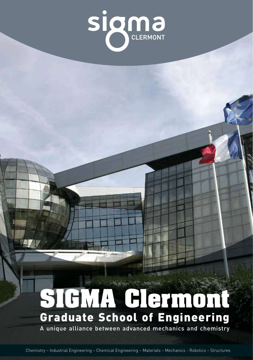

# **SIGMA Clermont** Graduate School of Engineering

A unique alliance between advanced mechanics and chemistry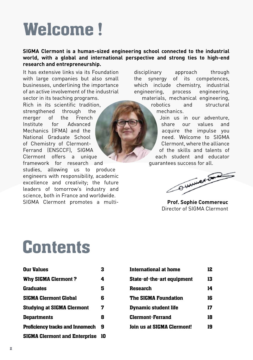# Welcome!

### **SIGMA Clermont is a human-sized engineering school connected to the industrial world, with a global and international perspective and strong ties to high-end research and entrepreneurship.**

It has extensive links via its Foundation with large companies but also small businesses, underlining the importance of an active involvement of the industrial sector in its teaching programs. Rich in its scientific tradition, strengthened through the merger of the French Institute for Advanced Mechanics (IFMA) and the National Graduate School of Chemistry of Clermont-Ferrand (ENSCCF), SIGMA Clermont offers a unique framework for research and studies, allowing us to produce engineers with responsibility, academic excellence and creativity; the future leaders of tomorrow's industry and science, both in France and worldwide. SIGMA Clermont promotes a multidisciplinary approach through the synergy of its competences, which include chemistry, industrial engineering, process engineering, materials, mechanical engineering,

robotics and structural mechanics.

Join us in our adventure, share our values and acquire the impulse you need. Welcome to SIGMA Clermont, where the alliance of the skills and talents of each student and educator guarantees success for all.

OWWWere

**Prof. Sophie Commereuc** Director of SIGMA Clermont

## **Contents**

| <b>Our Values</b>                      | 3  |
|----------------------------------------|----|
| <b>Why SIGMA Clermont?</b>             | 4  |
| <b>Graduates</b>                       | 5  |
| <b>SIGMA Clermont Global</b>           | 6  |
| <b>Studying at SIGMA Clermont</b>      | 7  |
| <b>Departments</b>                     | 8  |
| <b>Proficiency tracks and Innomech</b> | 9  |
| <b>SIGMA Clermont and Enterprise</b>   | 10 |

| International at home             | 12 |
|-----------------------------------|----|
| State-of-the-art equipment        | 13 |
| Research                          | 14 |
| <b>The SIGMA Foundation</b>       | 16 |
| Dynamic student life              | 17 |
| <b>Clermont-Ferrand</b>           | 18 |
| <b>Join us at SIGMA Clermont!</b> | 19 |
|                                   |    |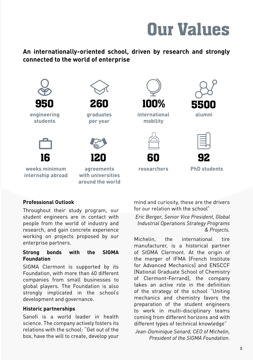

### **An internationally-oriented school, driven by research and strongly connected to the world of enterprise**



**around the world**

### **Professional Outlook**

Throughout their study program, our student engineers are in contact with people from the world of industry and research, and gain concrete experience working on projects proposed by our enterprise partners.

#### **Strong bonds with the SIGMA Foundation**

SIGMA Clermont is supported by its Foundation, with more than 60 different companies from small businesses to global players. The Foundation is also strongly implicated in the school's development and governance.

#### **Historic partnerships**

Sanofi is a world leader in health science. The company actively fosters its relations with the school: "Get out of the box, have the will to create, develop your

mind and curiosity, these are the drivers for our relation with the school"

*Eric Berger, Senior Vice President, Global Industrial Operations Strategy Programs & Projects.*

Michelin, the international tire manufacturer, is a historical partner of SIGMA Clermont. At the origin of the merger of IFMA (French Institute for Advanced Mechanics) and ENSCCF (National Graduate School of Chemistry of Clermont-Ferrand), the company takes an active role in the definition of the strategy of the school "Uniting mechanics and chemistry favors the preparation of the student engineers to work in multi-disciplinary teams coming from different horizons and with different types of technical knowledge"

*Jean-Dominique Senard, CEO of Michelin, President of the SIGMA Foundation.*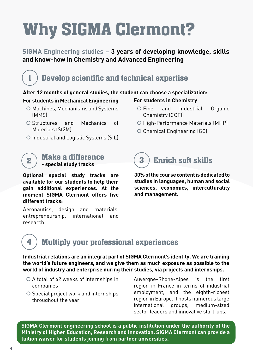# Why SIGMA Clermont?

### **SIGMA Engineering studies – 3 years of developing knowledge, skills and know-how in Chemistry and Advanced Engineering**

## Develop scientific and technical expertise

### **After 12 months of general studies, the student can choose a specialization:**

### **For students in Mechanical Engineering**

1

4

- O Machines, Mechanisms and Systems (MMS)
- | Structures and Mechanics of Materials (St2M)
- O Industrial and Logistic Systems (SIL)

### Make a difference  $\mathbf{z}$   $\big)$  **Wake a unierent**

**Optional special study tracks are available for our students to help them gain additional experiences. At the moment SIGMA Clermont offers five different tracks:** 

Aeronautics, design and materials, entrepreneurship, international and research.

### **For students in Chemistry**

- O Fine and Industrial Organic Chemistry (COFI)
- O High-Performance Materials (MHP)
- | Chemical Engineering (GC)

## **3 Enrich soft skills**

**30% of the course content is dedicated to studies in languages, human and social sciences, economics, interculturality and management.**

## Multiply your professional experiences

**Industrial relations are an integral part of SIGMA Clermont's identity. We are training the world's future engineers, and we give them as much exposure as possible to the world of industry and enterprise during their studies, via projects and internships.**

- $\circ$  A total of 42 weeks of internships in companies
- O Special project work and internships throughout the year

Auvergne-Rhone-Alpes is the first region in France in terms of industrial employment, and the eighth-richest region in Europe. It hosts numerous large international groups, medium-sized sector leaders and innovative start-ups.

**SIGMA Clermont engineering school is a public institution under the authority of the Ministry of Higher Education, Research and Innovation. SIGMA Clermont can provide a tuition waiver for students joining from partner universities.**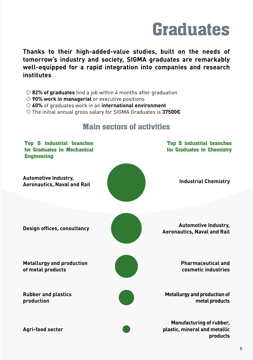# **Graduates**

**Thanks to their high-added-value studies, built on the needs of tomorrow's industry and society, SIGMA graduates are remarkably well-equipped for a rapid integration into companies and research institutes**

- | **82% of graduates** find a job within 4 months after graduation
- | **90% work in managerial** or executive positions
- | **60%** of graduates work in an **international environment**
- | The initial annual gross salary for SIGMA Graduates is **37500€**



## Main sectors of activities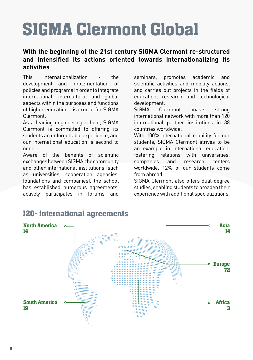# SIGMA Clermont Global

### **With the beginning of the 21st century SIGMA Clermont re-structured and intensified its actions oriented towards internationalizing its activities**

This internationalization - the development and implementation of policies and programs in order to integrate international, intercultural and global aspects within the purposes and functions of higher education - is crucial for SIGMA Clermont.

As a leading engineering school, SIGMA Clermont is committed to offering its students an unforgettable experience, and our international education is second to none.

Aware of the benefits of scientific exchanges between SIGMA, the community and other international institutions (such as universities, cooperation agencies, foundations and companies), the school has established numerous agreements, actively participates in forums and

seminars, promotes academic and scientific activities and mobility actions, and carries out projects in the fields of education, research and technological development.

SIGMA Clermont boasts strong international network with more than 120 international partner institutions in 38 countries worldwide.

With 100% international mobility for our students, SIGMA Clermont strives to be an example in international education, fostering relations with universities, companies and research centers worldwide. 12% of our students come from abroad.

SIGMA Clermont also offers dual-degree studies, enabling students to broaden their experience with additional specializations.



## 120+ international agreements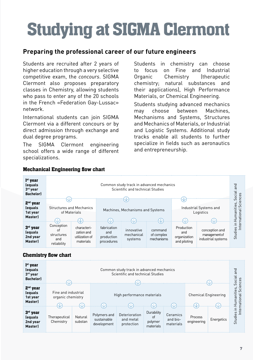# Studying at SIGMA Clermont

### **Preparing the professional career of our future engineers**

Students are recruited after 2 years of higher education through a very selective competitive exam, the *concours*. SIGMA Clermont also proposes preparatory classes in Chemistry, allowing students who pass to enter any of the 20 schools in the French «Federation Gay-Lussac» network.

International students can join SIGMA Clermont via a different concours or by direct admission through exchange and dual degree programs.

The SIGMA Clermont engineering school offers a wide range of different specializations.

Students in chemistry can choose to focus on Fine and Industrial Organic Chemistry (therapeutic chemistry; natural substances and their applications), High Performance Materials, or Chemical Engineering.

Students studying advanced mechanics may choose between Machines, Mechanisms and Systems, Structures and Mechanics of Materials, or Industrial and Logistic Systems. Additional study tracks enable all students to further specialize in fields such as aeronautics and entrepreneurship.



### Mechanical Engineering flow chart

### Chemistry flow chart

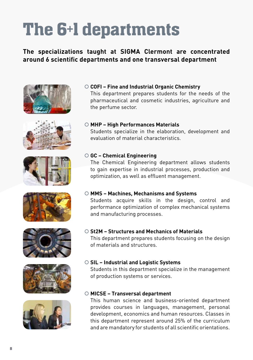# The 6+1 departments

### **The specializations taught at SIGMA Clermont are concentrated around 6 scientific departments and one transversal department**















## | **COFI – Fine and Industrial Organic Chemistry**

This department prepares students for the needs of the pharmaceutical and cosmetic industries, agriculture and the perfume sector.

### | **MHP – High Performances Materials**

Students specialize in the elaboration, development and evaluation of material characteristics.

### | **GC – Chemical Engineering**

The Chemical Engineering department allows students to gain expertise in industrial processes, production and optimization, as well as effluent management.

### | **MMS – Machines, Mechanisms and Systems**

Students acquire skills in the design, control and performance optimization of complex mechanical systems and manufacturing processes.

### | **St2M – Structures and Mechanics of Materials**

This department prepares students focusing on the design of materials and structures.

### | **SIL – Industrial and Logistic Systems**

Students in this department specialize in the management of production systems or services.

### | **MICSE – Transversal department**

This human science and business-oriented department provides courses in languages, management, personal development, economics and human resources. Classes in this department represent around 25% of the curriculum and are mandatory for students of all scientific orientations.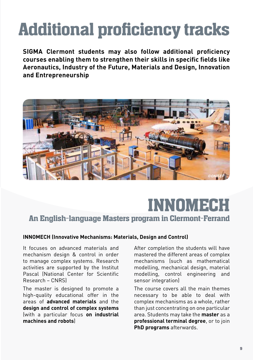# Additional proficiency tracks

**SIGMA Clermont students may also follow additional proficiency courses enabling them to strengthen their skills in specific fields like Aeronautics, Industry of the Future, Materials and Design, Innovation and Entrepreneurship**



## INNOMECH An English-language Masters program in Clermont-Ferrand

### **INNOMECH (Innovative Mechanisms: Materials, Design and Control)**

It focuses on advanced materials and mechanism design & control in order to manage complex systems. Research activities are supported by the Institut Pascal (National Center for Scientific Research – CNRS)

The master is designed to promote a high-quality educational offer in the areas of **advanced materials** and the **design and control of complex systems**  (with a particular focus **on industrial machines and robots**)

After completion the students will have mastered the different areas of complex mechanisms (such as mathematical modelling, mechanical design, material modelling, control engineering and sensor integration)

The course covers all the main themes necessary to be able to deal with complex mechanisms as a whole, rather than just concentrating on one particular area. Students may take the **master** as a **professional terminal degree**, or to join **PhD programs** afterwards.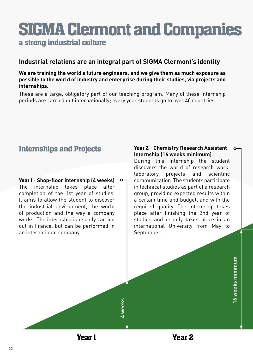## SIGMA Clermont and Companies a strong industrial culture

### **Industrial relations are an integral part of SIGMA Clermont's identity**

### **We are training the world's future engineers, and we give them as much exposure as possible to the world of industry and enterprise during their studies, via projects and internships.**

These are a large, obligatory part of our teaching program. Many of these internship periods are carried out internationally; every year students go to over 40 countries.

## Internships and Projects

Year 1 - **Shop-floor internship (4 weeks)** The internship takes place after completion of the 1st year of studies. It aims to allow the student to discover the industrial environment, the world of production and the way a company works. The internship is usually carried out in France, but can be performed in an international company.

#### Year 2 - **Chemistry Research Assistant internship (16 weeks minimum)**

During this internship the student discovers the world of research work, laboratory projects and scientific communication. The students participate in technical studies as part of a research group, providing expected results within a certain time and budget, and with the required quality. The internship takes place after finishing the 2nd year of studies and usually takes place in an international University from May to September.

> l6 weeks minimum **16 weeks minimum**

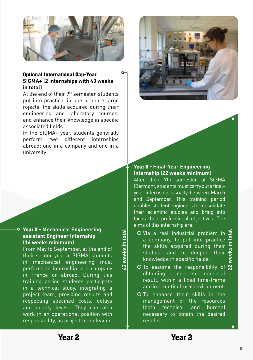

#### Optional International Gap-Year **SIGMA+ (2 internships with 43 weeks in total)**

At the end of their 9<sup>th</sup> semester, students put into practice, in one or more large rojects, the skills acquired during their engineering and laboratory courses, and enhance their knowledge in specific associated fields.

In the SIGMA+ year, students generally perform two different internships abroad: one in a company and one in a university.

### Year 2 - **Mechanical Engineering assistant Engineer Internship (16 weeks minimum)**

From May to September, at the end of their second year at SIGMA, students in mechanical engineering must perform an internship in a company in France or abroad. During this training period students participate in a technical study, integrating a project team, providing results and respecting specified costs, delays and quality levels. They can also work in an operational position with responsibility, as project team leader. **Example Example CO** Via a real industriand **neer Internship**<br>
in the skills acquired<br>
a company, to put<br>
the skills acquired<br>
a company, to put<br>
the skills acquired<br>
studies, and to<br>
the skills acquired<br>
studies, and to<br>



### Year 3 - **Final-Year Engineering Internship (22 weeks minimum)**

After their 9th semester at SIGMA Clermont, students must carry out a finalyear internship, usually between March and September. This training period enables student engineers to consolidate their scientific studies and bring into focus their professional objectives. The aims of this internship are:

- Inis or the means of the contract of the contract of the contract of the contract of the contract of the contract of the contract of the contract of the contract of the contract of the contract of the contract of the contr a company, to put into practice the skills acquired during their studies, and to deepen their knowledge in specific fields.
- $\overline{O}$  To assume the responsibility of  $\overline{N}$ obtaining a concrete industrial result, within a fixed time-frame and in a multicultural environment.
- O To enhance their skills in the management of the resources (both technical and human) necessary to obtain the desired results.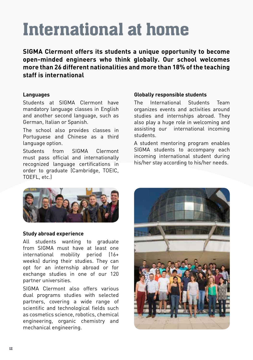# International at home

**SIGMA Clermont offers its students a unique opportunity to become open-minded engineers who think globally. Our school welcomes more than 26 different nationalities and more than 18% of the teaching staff is international**

### **Languages**

Students at SIGMA Clermont have mandatory language classes in English and another second language, such as German, Italian or Spanish.

The school also provides classes in Portuguese and Chinese as a third language option.

Students from SIGMA Clermont must pass official and internationally recognized language certifications in order to graduate (Cambridge, TOEIC, TOEFL, etc.)

### **Globally responsible students**

The International Students Team organizes events and activities around studies and internships abroad. They also play a huge role in welcoming and assisting our international incoming students.

A student mentoring program enables SIGMA students to accompany each incoming international student during his/her stay according to his/her needs.



### **Study abroad experience**

All students wanting to graduate from SIGMA must have at least one international mobility period (16+ weeks) during their studies. They can opt for an internship abroad or for exchange studies in one of our 120 partner universities.

SIGMA Clermont also offers various dual programs studies with selected partners, covering a wide range of scientific and technological fields such as cosmetics science, robotics, chemical engineering, organic chemistry and mechanical engineering.

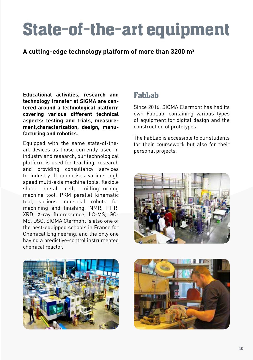# State-of-the-art equipment

### **A cutting-edge technology platform of more than 3200 m2**

**Educational activities, research and technology transfer at SIGMA are centered around a technological platform covering various different technical aspects: testing and trials, measurement,characterization, design, manufacturing and robotics.**

Equipped with the same state-of-theart devices as those currently used in industry and research, our technological platform is used for teaching, research and providing consultancy services to industry. It comprises various high speed multi-axis machine tools, flexible sheet metal cell, milling-turning machine tool, PKM parallel kinematic tool, various industrial robots for machining and finishing, NMR, FTIR, XRD, X-ray fluorescence, LC-MS, GC-MS, DSC. SIGMA Clermont is also one of the best-equipped schools in France for Chemical Engineering, and the only one having a predictive-control instrumented chemical reactor.

### FabLab

Since 2016, SIGMA Clermont has had its own FabLab, containing various types of equipment for digital design and the construction of prototypes.

The FabLab is accessible to our students for their coursework but also for their personal projects.





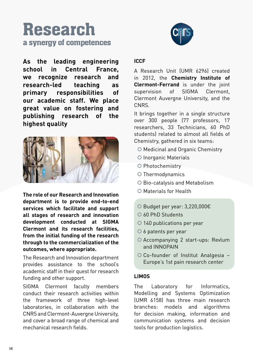## Research a synergy of competences

**As the leading engineering school in Central France, we recognize research and research-led teaching as primary responsibilities of our academic staff. We place great value on fostering and publishing research of the highest quality**



**The role of our Research and Innovation department is to provide end-to-end services which facilitate and support all stages of research and innovation development conducted at SIGMA Clermont and its research facilities, from the initial funding of the research through to the commercialization of the outcomes, where appropriate.** 

The Research and Innovation department provides assistance to the school's academic staff in their quest for research funding and other support.

SIGMA Clermont faculty members conduct their research activities within the framework of three high-level laboratories, in collaboration with the CNRS and Clermont-Auvergne University, and cover a broad range of chemical and mechanical research fields.



### **ICCF**

A Research Unit (UMR 6296) created in 2012, the **Chemistry Institute of Clermont-Ferrand** is under the joint supervision of SIGMA Clermont, Clermont Auvergne University, and the CNRS.

It brings together in a single structure over 300 people (77 professors, 17 researchers, 33 Technicians, 60 PhD students) related to almost all fields of Chemistry, gathered in six teams:

- O Medicinal and Organic Chemistry
- O Inorganic Materials
- O Photochemistry
- $O$  Thermodynamics
- O Bio-catalysis and Metabolism
- | Materials for Health
- | Budget per year: 3,220,000€
- | 60 PhD Students
- O 140 publications per year
- $\circ$  6 patents per year
- O Accompanying 2 start-ups: Revlum and INNOPAIN
- | Co-founder of Institut Analgesia Europe's 1st pain research center

### **LIMOS**

The Laboratory for Informatics, Modelling and Systems Optimization (UMR 6158) has three main research branches: models and algorithms for decision making, information and communication systems and decision tools for production logistics.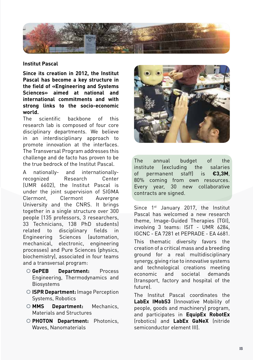

#### **Institut Pascal**

**Since its creation in 2012, the Institut Pascal has become a key structure in the field of «Engineering and Systems Sciences» aimed at national and international commitments and with strong links to the socio-economic world.**

The scientific backbone of this research lab is composed of four core disciplinary departments. We believe in an interdisciplinary approach to promote innovation at the interfaces. The Transversal Program addresses this challenge and de facto has proven to be the true bedrock of the Institut Pascal.

A nationally- and internationallyrecognized Research Center (UMR 6602), the Institut Pascal is under the joint supervision of SIGMA Clermont, Clermont Auvergne University and the CNRS. It brings together in a single structure over 300 people (135 professors, 3 researchers, 33 Technicians, 138 PhD students) related to disciplinary fields in Engineering Sciences (automation, mechanical, electronic, engineering processes) and Pure Sciences (physics, biochemistry), associated in four teams and a transversal program:

- | **GePEB Department:** Process Engineering, Thermodynamics and **Biosystems**
- | **ISPR Department:** Image Perception Systems, Robotics
- | **MMS Department:** Mechanics, Materials and Structures
- | **PHOTON Department:** Photonics, Waves, Nanomaterials



The annual budget of the institute (excluding the salaries of permanent staff) is **€3,3M**, 80% coming from own resources. Every year, 30 new collaborative contracts are signed.

Since 1<sup>st</sup> January 2017, the Institut Pascal has welcomed a new research theme, Image-Guided Therapies (TGI), involving 3 teams: ISIT - UMR 6284, IGCNC - EA 7281 et PEPRADE - EA 4681. This thematic diversity favors the creation of a critical mass and a breeding ground for a real multidisciplinary synergy, giving rise to innovative systems and technological creations meeting economic and societal demands (transport, factory and hospital of the future).

The Institut Pascal coordinates the **LabEx IMobS3** (Innovative Mobility of people, goods and machinery) program, and participates in **EquipEx RobotEx** (robotics) and **LabEx GaNeX** (nitride semiconductor element III).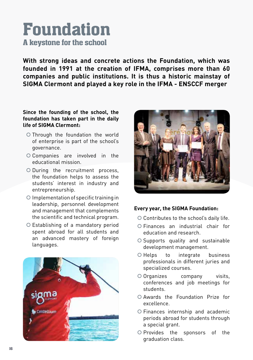## Foundation A keystone for the school

**With strong ideas and concrete actions the Foundation, which was founded in 1991 at the creation of IFMA, comprises more than 60 companies and public institutions. It is thus a historic mainstay of SIGMA Clermont and played a key role in the IFMA - ENSCCF merger**

### **Since the founding of the school, the foundation has taken part in the daily life of SIGMA Clermont:**

- | Through the foundation the world of enterprise is part of the school's governance.
- O Companies are involved in the educational mission.
- | During the recruitment process, the foundation helps to assess the students' interest in industry and entrepreneurship.
- O Implementation of specific training in leadership, personnel development and management that complements the scientific and technical program.
- | Establishing of a mandatory period spent abroad for all students and an advanced mastery of foreign languages.





### **Every year, the SIGMA Foundation:**

- O Contributes to the school's daily life.
- | Finances an industrial chair for education and research.
- O Supports quality and sustainable development management.
- O Helps to integrate business professionals in different juries and specialized courses.
- O Organizes company visits, conferences and job meetings for students.
- | Awards the Foundation Prize for excellence.
- | Finances internship and academic periods abroad for students through a special grant.
- O Provides the sponsors of the graduation class.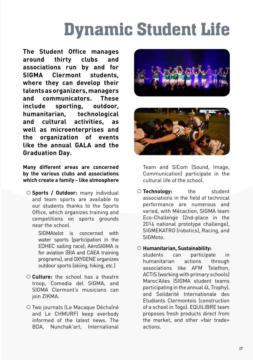# Dynamic Student Life

**The Student Office manages around thirty clubs and associations run by and for SIGMA Clermont students, where they can develop their talents as organizers, managers and communicators. These include sporting, outdoor, humanitarian, technological and cultural activities, as well as microenterprises and the organization of events like the annual GALA and the Graduation Day.**

**Many different areas are concerned by the various clubs and associations which create a family - like atmosphere**

| **Sports / Outdoor:** many individual and team sports are available to our students thanks to the Sports Office, which organizes training and competitions on sports grounds near the school.

> SIGMAtelot is concerned with water sports (participation in the EDHEC sailing race); AéroSIGMA is for aviation (BIA and CAEA training programs), and OXYGENE organizes outdoor sports (skiing, hiking, etc.)

- | **Culture:** the school has a theatre troop, Comedia del SIGMA, and SIGMA Clermont's musicians can join ZIKMA.
- | Two journals (Le Macaque Déchaîné and Le CHMURF) keep everbody informed of the latest news. The BDA, Nunchak'art, International





Team and SICom (Sound, Image, Communication) participate in the cultural life of the school.

| **Technology:** the student associations in the field of technical performance are numerous and varied, with Mécaction, SIGMA team Eco-Challenge (2nd-place in the 2014 national prototype challenge), SIGMEKATRO (robotics), Racing, and SIGMoto.

### | **Humanitarian, Sustainability:**

students can participate in humanitarian actions through associations like AFM Telethon, ACTIS (working with primary schools) Maroc'Ailes (SIGMA student teams participating in the annual 4L Trophy), and Solidarité Internationale des Etudiants Clermontois (construction of a school in Togo). EQUILIBRE team proposes fresh products direct from the market, and other «fair trade» actions.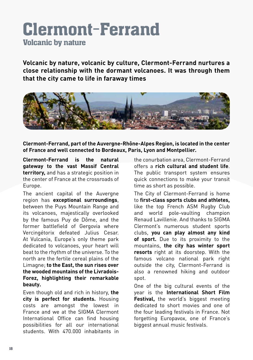## Clermont-Ferrand Volcanic by nature

**Volcanic by nature, volcanic by culture, Clermont-Ferrand nurtures a close relationship with the dormant volcanoes. It was through them that the city came to life in faraway times**



**Clermont-Ferrand, part of the Auvergne-Rhône-Alpes Region, is located in the center of France and well connected to Bordeaux, Paris, Lyon and Montpellier.**

**Clermont-Ferrand is the natural gateway to the vast Massif Central territory,** and has a strategic position in the center of France at the crossroads of Europe.

The ancient capital of the Auvergne region has **exceptional surroundings**, between the Puys Mountain Range and its volcanoes, majestically overlooked by the famous Puy de Dôme, and the former battlefield of Gergovia where Vercingétorix defeated Julius Cesar. At Vulcania, Europe's only theme park dedicated to volcanoes, your heart will beat to the rhythm of the universe. To the north are the fertile cereal plains of the Limagne; **to the East, the sun rises over the wooded mountains of the Livradois-Forez, highlighting their remarkable beauty.**

Even though old and rich in history, **the city is perfect for students.** Housing costs are amongst the lowest in France and we at the SIGMA Clermont International Office can find housing possibilities for all our international students. With 470.000 inhabitants in

the conurbation area, Clermont-Ferrand offers a **rich cultural and student life**. The public transport system ensures quick connections to make your transit time as short as possible.

The City of Clermont-Ferrand is home to **first-class sports clubs and athletes,** like the top French ASM Rugby Club and world pole-vaulting champion Renaud Lavillenie. And thanks to SIGMA Clermont's numerous student sports clubs, **you can play almost any kind of sport.** Due to its proximity to the mountains, **the city has winter sport resorts** right at its doorstep. With the famous volcano national park right outside the city, Clermont-Ferrand is also a renowned hiking and outdoor spot.

One of the big cultural events of the year is the **International Short Film Festival.** the world's biggest meeting dedicated to short movies and one of the four leading festivals in France. Not forgetting Europavox, one of France's biggest annual music festivals.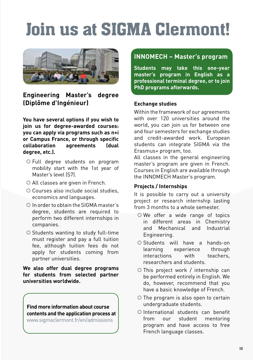# Join us at SIGMA Clermont!



**Engineering Master's degree (Diplôme d'Ingénieur)**

**You have several options if you wish to join us for degree-awarded courses: you can apply via programs such as n+i or Campus France, or through specific collaboration agreements (dual degree, etc.).**

- | Full degree students on program mobility start with the 1st year of Master's level (S7).
- O All classes are given in French.
- O Courses also include social studies. economics and languages.
- O In order to obtain the SIGMA master's degree, students are required to perform two different internships in companies.
- O Students wanting to study full-time must register and pay a full tuition fee, although tuition fees do not apply for students coming from partner universities.

**We also offer dual degree programs for students from selected partner universities worldwide.**

**Find more information about course contents and the application process at**  www.sigmaclermont.fr/en/admissions

### **INNOMECH – Master's program**

**Students may take this one-year master's program in English as a professional terminal degree, or to join PhD programs afterwards.**

#### **Exchange studies**

Within the framework of our agreements with over 120 universities around the world, you can join us for between one and four semesters for exchange studies and credit-awarded work. European students can integrate SIGMA via the Erasmus+ program, too.

All classes in the general engineering master's program are given in French. Courses in English are available through the INNOMECH Master's program.

### **Projects / Internships**

It is possible to carry out a university project or research internship lasting from 3 months to a whole semester.

- O We offer a wide range of topics in different areas in Chemistry and Mechanical and Industrial Engineering.
- O Students will have a hands-on<br>learning experience through learning experience interactions with teachers, researchers and students.
- O This project work / internship can be performed entirely in English. We do, however, recommend that you have a basic knowledge of French.
- O The program is also open to certain undergraduate students.
- O International students can benefit from our student mentoring program and have access to free French language classes.